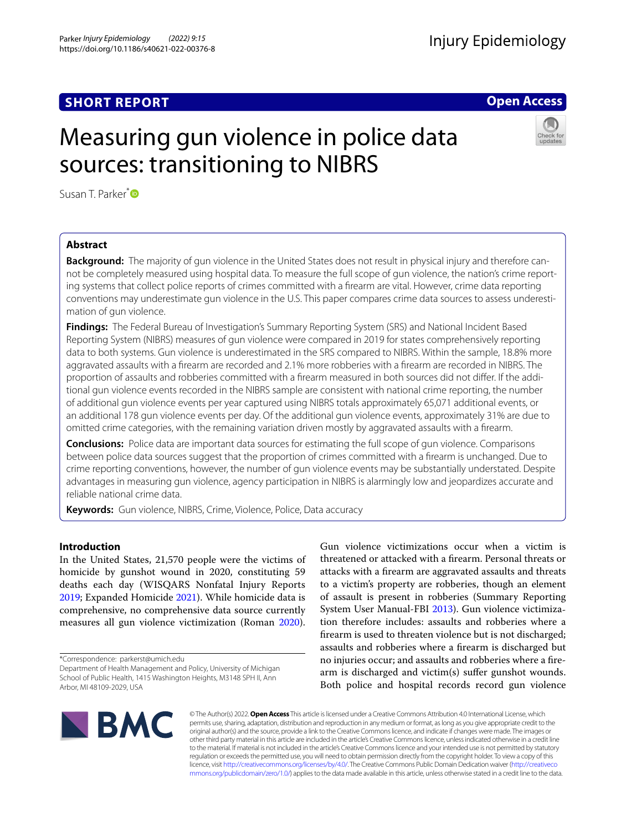# **SHORT REPORT**

# **Open Access**

# Measuring gun violence in police data sources: transitioning to NIBRS



Susan T. Parker<sup>[\\*](http://orcid.org/0000-0003-0459-4945)</sup><sup>D</sup>

# **Abstract**

**Background:** The majority of gun violence in the United States does not result in physical injury and therefore can‑ not be completely measured using hospital data. To measure the full scope of gun violence, the nation's crime reporting systems that collect police reports of crimes committed with a frearm are vital. However, crime data reporting conventions may underestimate gun violence in the U.S. This paper compares crime data sources to assess underestimation of gun violence.

**Findings:** The Federal Bureau of Investigation's Summary Reporting System (SRS) and National Incident Based Reporting System (NIBRS) measures of gun violence were compared in 2019 for states comprehensively reporting data to both systems. Gun violence is underestimated in the SRS compared to NIBRS. Within the sample, 18.8% more aggravated assaults with a frearm are recorded and 2.1% more robberies with a frearm are recorded in NIBRS. The proportion of assaults and robberies committed with a firearm measured in both sources did not differ. If the additional gun violence events recorded in the NIBRS sample are consistent with national crime reporting, the number of additional gun violence events per year captured using NIBRS totals approximately 65,071 additional events, or an additional 178 gun violence events per day. Of the additional gun violence events, approximately 31% are due to omitted crime categories, with the remaining variation driven mostly by aggravated assaults with a frearm.

**Conclusions:** Police data are important data sources for estimating the full scope of gun violence. Comparisons between police data sources suggest that the proportion of crimes committed with a frearm is unchanged. Due to crime reporting conventions, however, the number of gun violence events may be substantially understated. Despite advantages in measuring gun violence, agency participation in NIBRS is alarmingly low and jeopardizes accurate and reliable national crime data.

**Keywords:** Gun violence, NIBRS, Crime, Violence, Police, Data accuracy

# **Introduction**

In the United States, 21,570 people were the victims of homicide by gunshot wound in 2020, constituting 59 deaths each day (WISQARS Nonfatal Injury Reports [2019](#page-9-0); Expanded Homicide [2021](#page-9-1)). While homicide data is comprehensive, no comprehensive data source currently measures all gun violence victimization (Roman [2020](#page-9-2)).

\*Correspondence: parkerst@umich.edu

Department of Health Management and Policy, University of Michigan School of Public Health, 1415 Washington Heights, M3148 SPH II, Ann Arbor, MI 48109‑2029, USA

Gun violence victimizations occur when a victim is threatened or attacked with a frearm. Personal threats or attacks with a frearm are aggravated assaults and threats to a victim's property are robberies, though an element of assault is present in robberies (Summary Reporting System User Manual-FBI [2013](#page-9-3)). Gun violence victimization therefore includes: assaults and robberies where a frearm is used to threaten violence but is not discharged; assaults and robberies where a frearm is discharged but no injuries occur; and assaults and robberies where a frearm is discharged and victim(s) sufer gunshot wounds. Both police and hospital records record gun violence



© The Author(s) 2022. **Open Access** This article is licensed under a Creative Commons Attribution 4.0 International License, which permits use, sharing, adaptation, distribution and reproduction in any medium or format, as long as you give appropriate credit to the original author(s) and the source, provide a link to the Creative Commons licence, and indicate if changes were made. The images or other third party material in this article are included in the article's Creative Commons licence, unless indicated otherwise in a credit line to the material. If material is not included in the article's Creative Commons licence and your intended use is not permitted by statutory regulation or exceeds the permitted use, you will need to obtain permission directly from the copyright holder. To view a copy of this licence, visit [http://creativecommons.org/licenses/by/4.0/.](http://creativecommons.org/licenses/by/4.0/) The Creative Commons Public Domain Dedication waiver ([http://creativeco](http://creativecommons.org/publicdomain/zero/1.0/) [mmons.org/publicdomain/zero/1.0/](http://creativecommons.org/publicdomain/zero/1.0/)) applies to the data made available in this article, unless otherwise stated in a credit line to the data.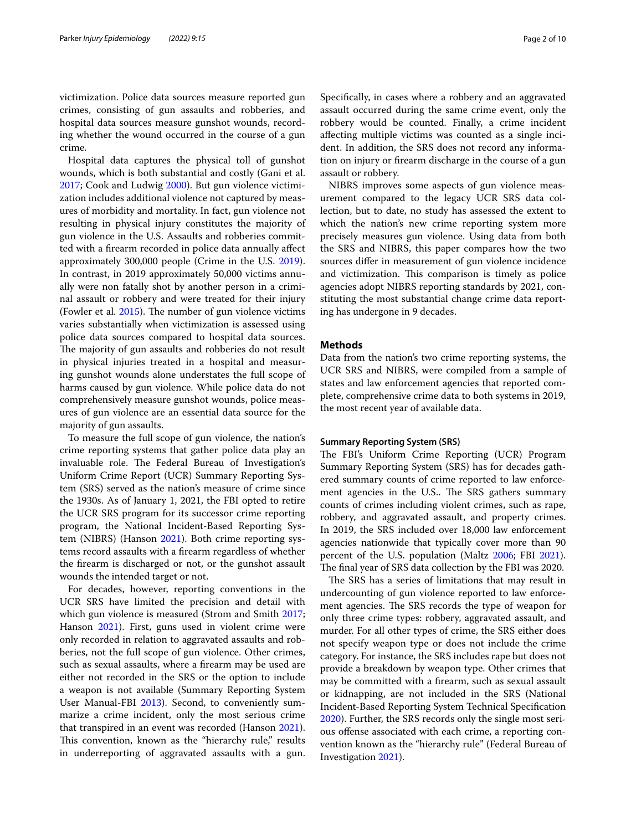victimization. Police data sources measure reported gun crimes, consisting of gun assaults and robberies, and hospital data sources measure gunshot wounds, recording whether the wound occurred in the course of a gun crime.

Hospital data captures the physical toll of gunshot wounds, which is both substantial and costly (Gani et al. [2017](#page-9-4); Cook and Ludwig [2000\)](#page-9-5). But gun violence victimization includes additional violence not captured by measures of morbidity and mortality. In fact, gun violence not resulting in physical injury constitutes the majority of gun violence in the U.S. Assaults and robberies committed with a frearm recorded in police data annually afect approximately 300,000 people (Crime in the U.S. [2019](#page-9-6)). In contrast, in 2019 approximately 50,000 victims annually were non fatally shot by another person in a criminal assault or robbery and were treated for their injury (Fowler et al.  $2015$ ). The number of gun violence victims varies substantially when victimization is assessed using police data sources compared to hospital data sources. The majority of gun assaults and robberies do not result in physical injuries treated in a hospital and measuring gunshot wounds alone understates the full scope of harms caused by gun violence. While police data do not comprehensively measure gunshot wounds, police measures of gun violence are an essential data source for the majority of gun assaults.

To measure the full scope of gun violence, the nation's crime reporting systems that gather police data play an invaluable role. The Federal Bureau of Investigation's Uniform Crime Report (UCR) Summary Reporting System (SRS) served as the nation's measure of crime since the 1930s. As of January 1, 2021, the FBI opted to retire the UCR SRS program for its successor crime reporting program, the National Incident-Based Reporting System (NIBRS) (Hanson [2021\)](#page-9-8). Both crime reporting systems record assaults with a frearm regardless of whether the frearm is discharged or not, or the gunshot assault wounds the intended target or not.

For decades, however, reporting conventions in the UCR SRS have limited the precision and detail with which gun violence is measured (Strom and Smith [2017](#page-9-9); Hanson [2021](#page-9-8)). First, guns used in violent crime were only recorded in relation to aggravated assaults and robberies, not the full scope of gun violence. Other crimes, such as sexual assaults, where a frearm may be used are either not recorded in the SRS or the option to include a weapon is not available (Summary Reporting System User Manual-FBI [2013\)](#page-9-3). Second, to conveniently summarize a crime incident, only the most serious crime that transpired in an event was recorded (Hanson [2021](#page-9-8)). This convention, known as the "hierarchy rule," results in underreporting of aggravated assaults with a gun. Specifcally, in cases where a robbery and an aggravated assault occurred during the same crime event, only the robbery would be counted. Finally, a crime incident afecting multiple victims was counted as a single incident. In addition, the SRS does not record any information on injury or frearm discharge in the course of a gun assault or robbery.

NIBRS improves some aspects of gun violence measurement compared to the legacy UCR SRS data collection, but to date, no study has assessed the extent to which the nation's new crime reporting system more precisely measures gun violence. Using data from both the SRS and NIBRS, this paper compares how the two sources difer in measurement of gun violence incidence and victimization. This comparison is timely as police agencies adopt NIBRS reporting standards by 2021, constituting the most substantial change crime data reporting has undergone in 9 decades.

# **Methods**

Data from the nation's two crime reporting systems, the UCR SRS and NIBRS, were compiled from a sample of states and law enforcement agencies that reported complete, comprehensive crime data to both systems in 2019, the most recent year of available data.

# **Summary Reporting System (SRS)**

The FBI's Uniform Crime Reporting (UCR) Program Summary Reporting System (SRS) has for decades gathered summary counts of crime reported to law enforcement agencies in the U.S.. The SRS gathers summary counts of crimes including violent crimes, such as rape, robbery, and aggravated assault, and property crimes. In 2019, the SRS included over 18,000 law enforcement agencies nationwide that typically cover more than 90 percent of the U.S. population (Maltz [2006;](#page-9-10) FBI [2021](#page-9-11)). The final year of SRS data collection by the FBI was 2020.

The SRS has a series of limitations that may result in undercounting of gun violence reported to law enforcement agencies. The SRS records the type of weapon for only three crime types: robbery, aggravated assault, and murder. For all other types of crime, the SRS either does not specify weapon type or does not include the crime category. For instance, the SRS includes rape but does not provide a breakdown by weapon type. Other crimes that may be committed with a frearm, such as sexual assault or kidnapping, are not included in the SRS (National Incident-Based Reporting System Technical Specifcation [2020](#page-9-12)). Further, the SRS records only the single most serious ofense associated with each crime, a reporting convention known as the "hierarchy rule" (Federal Bureau of Investigation [2021\)](#page-9-13).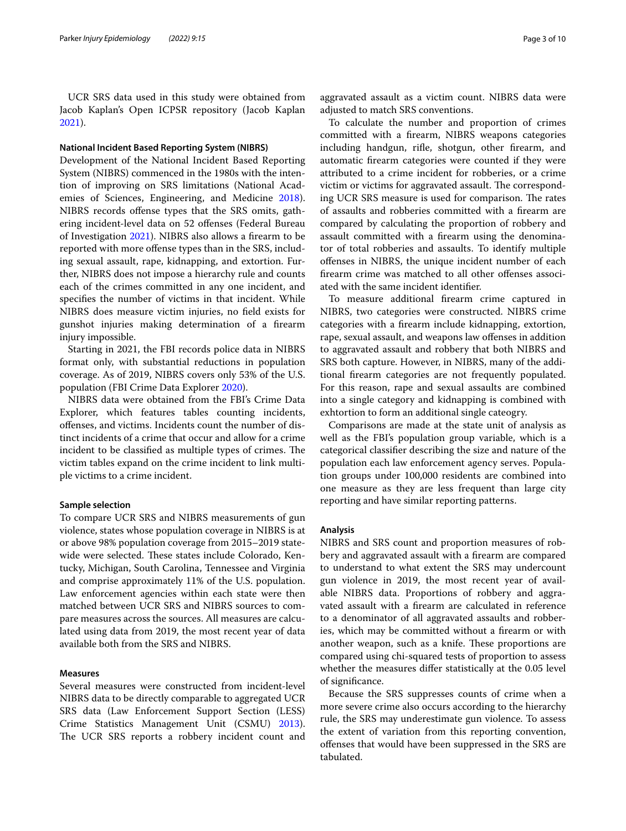UCR SRS data used in this study were obtained from Jacob Kaplan's Open ICPSR repository (Jacob Kaplan [2021](#page-9-14)).

# **National Incident Based Reporting System (NIBRS)**

Development of the National Incident Based Reporting System (NIBRS) commenced in the 1980s with the intention of improving on SRS limitations (National Academies of Sciences, Engineering, and Medicine [2018](#page-9-15)). NIBRS records ofense types that the SRS omits, gathering incident-level data on 52 ofenses (Federal Bureau of Investigation [2021](#page-9-13)). NIBRS also allows a frearm to be reported with more offense types than in the SRS, including sexual assault, rape, kidnapping, and extortion. Further, NIBRS does not impose a hierarchy rule and counts each of the crimes committed in any one incident, and specifes the number of victims in that incident. While NIBRS does measure victim injuries, no feld exists for gunshot injuries making determination of a frearm injury impossible.

Starting in 2021, the FBI records police data in NIBRS format only, with substantial reductions in population coverage. As of 2019, NIBRS covers only 53% of the U.S. population (FBI Crime Data Explorer [2020\)](#page-9-16).

NIBRS data were obtained from the FBI's Crime Data Explorer, which features tables counting incidents, ofenses, and victims. Incidents count the number of distinct incidents of a crime that occur and allow for a crime incident to be classified as multiple types of crimes. The victim tables expand on the crime incident to link multiple victims to a crime incident.

## **Sample selection**

To compare UCR SRS and NIBRS measurements of gun violence, states whose population coverage in NIBRS is at or above 98% population coverage from 2015–2019 statewide were selected. These states include Colorado, Kentucky, Michigan, South Carolina, Tennessee and Virginia and comprise approximately 11% of the U.S. population. Law enforcement agencies within each state were then matched between UCR SRS and NIBRS sources to compare measures across the sources. All measures are calculated using data from 2019, the most recent year of data available both from the SRS and NIBRS.

# **Measures**

Several measures were constructed from incident-level NIBRS data to be directly comparable to aggregated UCR SRS data (Law Enforcement Support Section (LESS) Crime Statistics Management Unit (CSMU) [2013](#page-9-17)). The UCR SRS reports a robbery incident count and aggravated assault as a victim count. NIBRS data were adjusted to match SRS conventions.

To calculate the number and proportion of crimes committed with a frearm, NIBRS weapons categories including handgun, rife, shotgun, other frearm, and automatic frearm categories were counted if they were attributed to a crime incident for robberies, or a crime victim or victims for aggravated assault. The corresponding UCR SRS measure is used for comparison. The rates of assaults and robberies committed with a frearm are compared by calculating the proportion of robbery and assault committed with a frearm using the denominator of total robberies and assaults. To identify multiple ofenses in NIBRS, the unique incident number of each firearm crime was matched to all other offenses associated with the same incident identifer.

To measure additional frearm crime captured in NIBRS, two categories were constructed. NIBRS crime categories with a frearm include kidnapping, extortion, rape, sexual assault, and weapons law ofenses in addition to aggravated assault and robbery that both NIBRS and SRS both capture. However, in NIBRS, many of the additional frearm categories are not frequently populated. For this reason, rape and sexual assaults are combined into a single category and kidnapping is combined with exhtortion to form an additional single cateogry.

Comparisons are made at the state unit of analysis as well as the FBI's population group variable, which is a categorical classifer describing the size and nature of the population each law enforcement agency serves. Population groups under 100,000 residents are combined into one measure as they are less frequent than large city reporting and have similar reporting patterns.

## **Analysis**

NIBRS and SRS count and proportion measures of robbery and aggravated assault with a frearm are compared to understand to what extent the SRS may undercount gun violence in 2019, the most recent year of available NIBRS data. Proportions of robbery and aggravated assault with a frearm are calculated in reference to a denominator of all aggravated assaults and robberies, which may be committed without a frearm or with another weapon, such as a knife. These proportions are compared using chi-squared tests of proportion to assess whether the measures difer statistically at the 0.05 level of signifcance.

Because the SRS suppresses counts of crime when a more severe crime also occurs according to the hierarchy rule, the SRS may underestimate gun violence. To assess the extent of variation from this reporting convention, ofenses that would have been suppressed in the SRS are tabulated.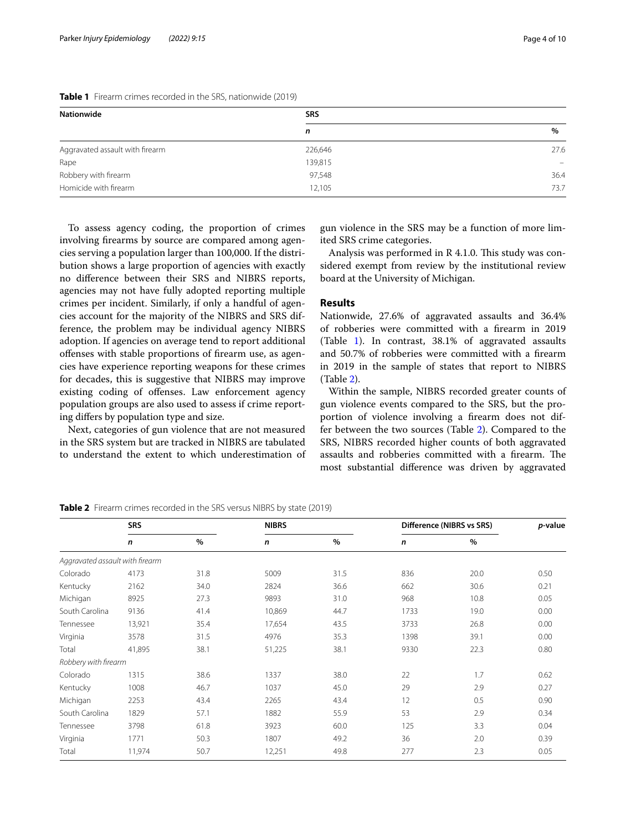| <b>Nationwide</b>               | <b>SRS</b> |          |  |  |
|---------------------------------|------------|----------|--|--|
|                                 | n          | %        |  |  |
| Aggravated assault with firearm | 226,646    | 27.6     |  |  |
| Rape                            | 139,815    | $\equiv$ |  |  |
| Robbery with firearm            | 97,548     | 36.4     |  |  |
| Homicide with firearm           | 12,105     | 73.7     |  |  |

<span id="page-3-0"></span>**Table 1** Firearm crimes recorded in the SRS, nationwide (2019)

To assess agency coding, the proportion of crimes involving frearms by source are compared among agencies serving a population larger than 100,000. If the distribution shows a large proportion of agencies with exactly no diference between their SRS and NIBRS reports, agencies may not have fully adopted reporting multiple crimes per incident. Similarly, if only a handful of agencies account for the majority of the NIBRS and SRS difference, the problem may be individual agency NIBRS adoption. If agencies on average tend to report additional ofenses with stable proportions of frearm use, as agencies have experience reporting weapons for these crimes for decades, this is suggestive that NIBRS may improve existing coding of ofenses. Law enforcement agency population groups are also used to assess if crime reporting difers by population type and size.

Next, categories of gun violence that are not measured in the SRS system but are tracked in NIBRS are tabulated to understand the extent to which underestimation of

gun violence in the SRS may be a function of more limited SRS crime categories.

Analysis was performed in  $R$  4.1.0. This study was considered exempt from review by the institutional review board at the University of Michigan.

# **Results**

Nationwide, 27.6% of aggravated assaults and 36.4% of robberies were committed with a frearm in 2019 (Table [1\)](#page-3-0). In contrast, 38.1% of aggravated assaults and 50.7% of robberies were committed with a frearm in 2019 in the sample of states that report to NIBRS (Table [2\)](#page-3-1).

Within the sample, NIBRS recorded greater counts of gun violence events compared to the SRS, but the proportion of violence involving a frearm does not differ between the two sources (Table [2\)](#page-3-1). Compared to the SRS, NIBRS recorded higher counts of both aggravated assaults and robberies committed with a firearm. The most substantial diference was driven by aggravated

|                                 | <b>SRS</b> |      | <b>NIBRS</b> |               | Difference (NIBRS vs SRS) |      | p-value |  |
|---------------------------------|------------|------|--------------|---------------|---------------------------|------|---------|--|
|                                 | n          | $\%$ | n            | $\frac{0}{0}$ | n                         | $\%$ |         |  |
| Aggravated assault with firearm |            |      |              |               |                           |      |         |  |
| Colorado                        | 4173       | 31.8 | 5009         | 31.5          | 836                       | 20.0 | 0.50    |  |
| Kentucky                        | 2162       | 34.0 | 2824         | 36.6          | 662                       | 30.6 | 0.21    |  |
| Michigan                        | 8925       | 27.3 | 9893         | 31.0          | 968                       | 10.8 | 0.05    |  |
| South Carolina                  | 9136       | 41.4 | 10,869       | 44.7          | 1733                      | 19.0 | 0.00    |  |
| Tennessee                       | 13,921     | 35.4 | 17,654       | 43.5          | 3733                      | 26.8 | 0.00    |  |
| Virginia                        | 3578       | 31.5 | 4976         | 35.3          | 1398                      | 39.1 | 0.00    |  |
| Total                           | 41,895     | 38.1 | 51,225       | 38.1          | 9330                      | 22.3 | 0.80    |  |
| Robbery with firearm            |            |      |              |               |                           |      |         |  |
| Colorado                        | 1315       | 38.6 | 1337         | 38.0          | 22                        | 1.7  | 0.62    |  |
| Kentucky                        | 1008       | 46.7 | 1037         | 45.0          | 29                        | 2.9  | 0.27    |  |
| Michigan                        | 2253       | 43.4 | 2265         | 43.4          | 12                        | 0.5  | 0.90    |  |
| South Carolina                  | 1829       | 57.1 | 1882         | 55.9          | 53                        | 2.9  | 0.34    |  |
| Tennessee                       | 3798       | 61.8 | 3923         | 60.0          | 125                       | 3.3  | 0.04    |  |
| Virginia                        | 1771       | 50.3 | 1807         | 49.2          | 36                        | 2.0  | 0.39    |  |
| Total                           | 11,974     | 50.7 | 12,251       | 49.8          | 277                       | 2.3  | 0.05    |  |

<span id="page-3-1"></span>**Table 2** Firearm crimes recorded in the SRS versus NIBRS by state (2019)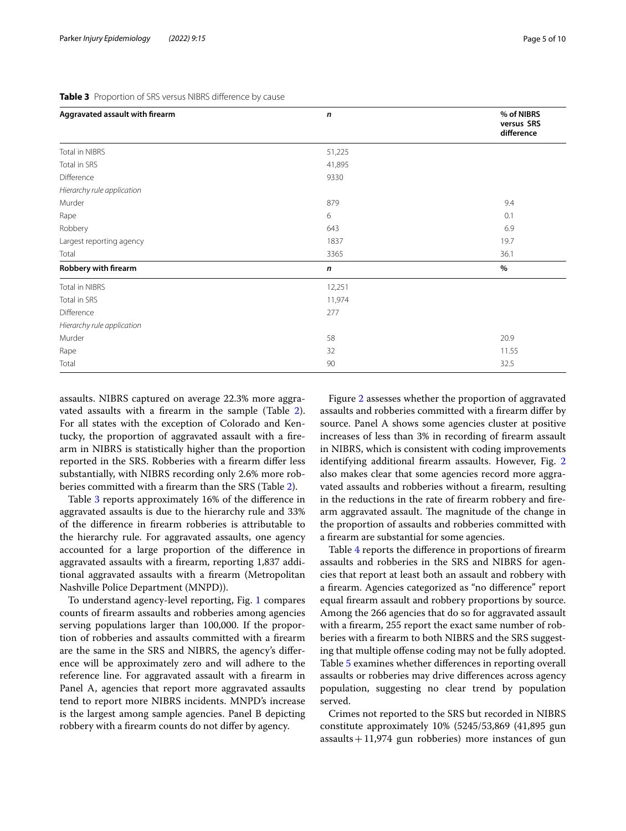## <span id="page-4-0"></span>**Table 3** Proportion of SRS versus NIBRS diference by cause

| Aggravated assault with firearm | n         | % of NIBRS               |
|---------------------------------|-----------|--------------------------|
|                                 |           | versus SRS<br>difference |
| <b>Total in NIBRS</b>           | 51,225    |                          |
| Total in SRS                    | 41,895    |                          |
| Difference                      | 9330      |                          |
| Hierarchy rule application      |           |                          |
| Murder                          | 879       | 9.4                      |
| Rape                            | 6         | 0.1                      |
| Robbery                         | 643       | 6.9                      |
| Largest reporting agency        | 1837      | 19.7                     |
| Total                           | 3365      | 36.1                     |
| Robbery with firearm            | $\pmb{n}$ | $\%$                     |
| <b>Total in NIBRS</b>           | 12,251    |                          |
| Total in SRS                    | 11,974    |                          |
| Difference                      | 277       |                          |
| Hierarchy rule application      |           |                          |
| Murder                          | 58        | 20.9                     |
| Rape                            | 32        | 11.55                    |
| Total                           | 90        | 32.5                     |

assaults. NIBRS captured on average 22.3% more aggravated assaults with a frearm in the sample (Table [2](#page-3-1)). For all states with the exception of Colorado and Kentucky, the proportion of aggravated assault with a frearm in NIBRS is statistically higher than the proportion reported in the SRS. Robberies with a frearm difer less substantially, with NIBRS recording only 2.6% more robberies committed with a frearm than the SRS (Table [2\)](#page-3-1).

Table [3](#page-4-0) reports approximately 16% of the diference in aggravated assaults is due to the hierarchy rule and 33% of the diference in frearm robberies is attributable to the hierarchy rule. For aggravated assaults, one agency accounted for a large proportion of the diference in aggravated assaults with a frearm, reporting 1,837 additional aggravated assaults with a frearm (Metropolitan Nashville Police Department (MNPD)).

To understand agency-level reporting, Fig. [1](#page-5-0) compares counts of frearm assaults and robberies among agencies serving populations larger than 100,000. If the proportion of robberies and assaults committed with a frearm are the same in the SRS and NIBRS, the agency's diference will be approximately zero and will adhere to the reference line. For aggravated assault with a frearm in Panel A, agencies that report more aggravated assaults tend to report more NIBRS incidents. MNPD's increase is the largest among sample agencies. Panel B depicting robbery with a frearm counts do not difer by agency.

Figure [2](#page-7-0) assesses whether the proportion of aggravated assaults and robberies committed with a frearm difer by source. Panel A shows some agencies cluster at positive increases of less than 3% in recording of frearm assault in NIBRS, which is consistent with coding improvements identifying additional frearm assaults. However, Fig. [2](#page-7-0) also makes clear that some agencies record more aggravated assaults and robberies without a frearm, resulting in the reductions in the rate of frearm robbery and frearm aggravated assault. The magnitude of the change in the proportion of assaults and robberies committed with a frearm are substantial for some agencies.

Table [4](#page-8-0) reports the diference in proportions of frearm assaults and robberies in the SRS and NIBRS for agencies that report at least both an assault and robbery with a frearm. Agencies categorized as "no diference" report equal frearm assault and robbery proportions by source. Among the 266 agencies that do so for aggravated assault with a frearm, 255 report the exact same number of robberies with a frearm to both NIBRS and the SRS suggesting that multiple offense coding may not be fully adopted. Table [5](#page-8-1) examines whether diferences in reporting overall assaults or robberies may drive diferences across agency population, suggesting no clear trend by population served.

Crimes not reported to the SRS but recorded in NIBRS constitute approximately 10% (5245/53,869 (41,895 gun assaults  $+11,974$  gun robberies) more instances of gun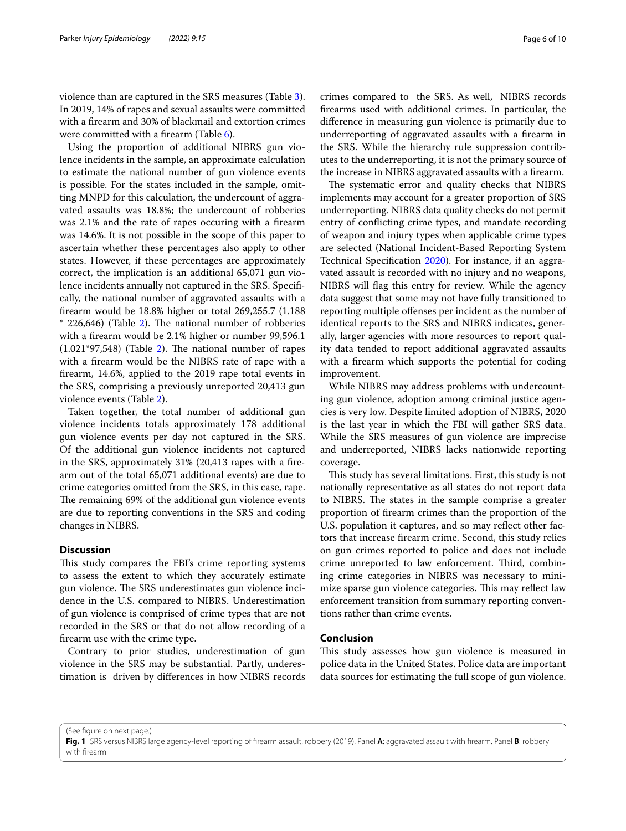violence than are captured in the SRS measures (Table [3](#page-4-0)). In 2019, 14% of rapes and sexual assaults were committed with a frearm and 30% of blackmail and extortion crimes were committed with a frearm (Table [6](#page-9-18)).

Using the proportion of additional NIBRS gun violence incidents in the sample, an approximate calculation to estimate the national number of gun violence events is possible. For the states included in the sample, omitting MNPD for this calculation, the undercount of aggravated assaults was 18.8%; the undercount of robberies was 2.1% and the rate of rapes occuring with a frearm was 14.6%. It is not possible in the scope of this paper to ascertain whether these percentages also apply to other states. However, if these percentages are approximately correct, the implication is an additional 65,071 gun violence incidents annually not captured in the SRS. Specifcally, the national number of aggravated assaults with a frearm would be 18.8% higher or total 269,255.7 (1.188  $*$  226,646) (Table [2\)](#page-3-1). The national number of robberies with a frearm would be 2.1% higher or number 99,596.1  $(1.021*97,548)$  (Table [2\)](#page-3-1). The national number of rapes with a frearm would be the NIBRS rate of rape with a frearm, 14.6%, applied to the 2019 rape total events in the SRS, comprising a previously unreported 20,413 gun violence events (Table [2\)](#page-3-1).

Taken together, the total number of additional gun violence incidents totals approximately 178 additional gun violence events per day not captured in the SRS. Of the additional gun violence incidents not captured in the SRS, approximately 31% (20,413 rapes with a frearm out of the total 65,071 additional events) are due to crime categories omitted from the SRS, in this case, rape. The remaining 69% of the additional gun violence events are due to reporting conventions in the SRS and coding changes in NIBRS.

## **Discussion**

This study compares the FBI's crime reporting systems to assess the extent to which they accurately estimate gun violence. The SRS underestimates gun violence incidence in the U.S. compared to NIBRS. Underestimation of gun violence is comprised of crime types that are not recorded in the SRS or that do not allow recording of a frearm use with the crime type.

Contrary to prior studies, underestimation of gun violence in the SRS may be substantial. Partly, underestimation is driven by diferences in how NIBRS records crimes compared to the SRS. As well, NIBRS records frearms used with additional crimes. In particular, the diference in measuring gun violence is primarily due to underreporting of aggravated assaults with a frearm in the SRS. While the hierarchy rule suppression contributes to the underreporting, it is not the primary source of the increase in NIBRS aggravated assaults with a frearm.

The systematic error and quality checks that NIBRS implements may account for a greater proportion of SRS underreporting. NIBRS data quality checks do not permit entry of conficting crime types, and mandate recording of weapon and injury types when applicable crime types are selected (National Incident-Based Reporting System Technical Specifcation [2020\)](#page-9-12). For instance, if an aggravated assault is recorded with no injury and no weapons, NIBRS will fag this entry for review. While the agency data suggest that some may not have fully transitioned to reporting multiple ofenses per incident as the number of identical reports to the SRS and NIBRS indicates, generally, larger agencies with more resources to report quality data tended to report additional aggravated assaults with a frearm which supports the potential for coding improvement.

While NIBRS may address problems with undercounting gun violence, adoption among criminal justice agencies is very low. Despite limited adoption of NIBRS, 2020 is the last year in which the FBI will gather SRS data. While the SRS measures of gun violence are imprecise and underreported, NIBRS lacks nationwide reporting coverage.

This study has several limitations. First, this study is not nationally representative as all states do not report data to NIBRS. The states in the sample comprise a greater proportion of frearm crimes than the proportion of the U.S. population it captures, and so may reflect other factors that increase frearm crime. Second, this study relies on gun crimes reported to police and does not include crime unreported to law enforcement. Third, combining crime categories in NIBRS was necessary to minimize sparse gun violence categories. This may reflect law enforcement transition from summary reporting conventions rather than crime events.

# **Conclusion**

This study assesses how gun violence is measured in police data in the United States. Police data are important data sources for estimating the full scope of gun violence.

(See figure on next page.)

<span id="page-5-0"></span>**Fig. 1** SRS versus NIBRS large agency-level reporting of frearm assault, robbery (2019). Panel **A**: aggravated assault with frearm. Panel **B**: robbery with frearm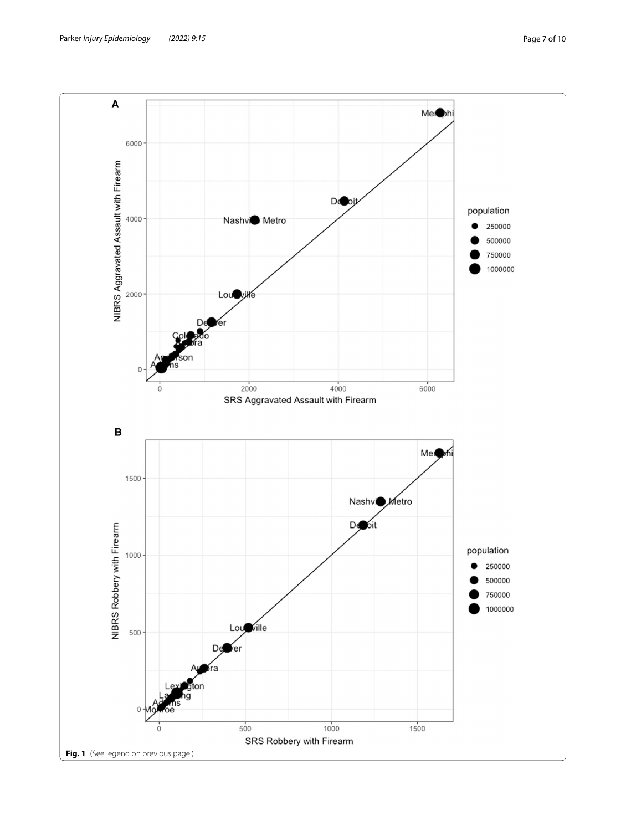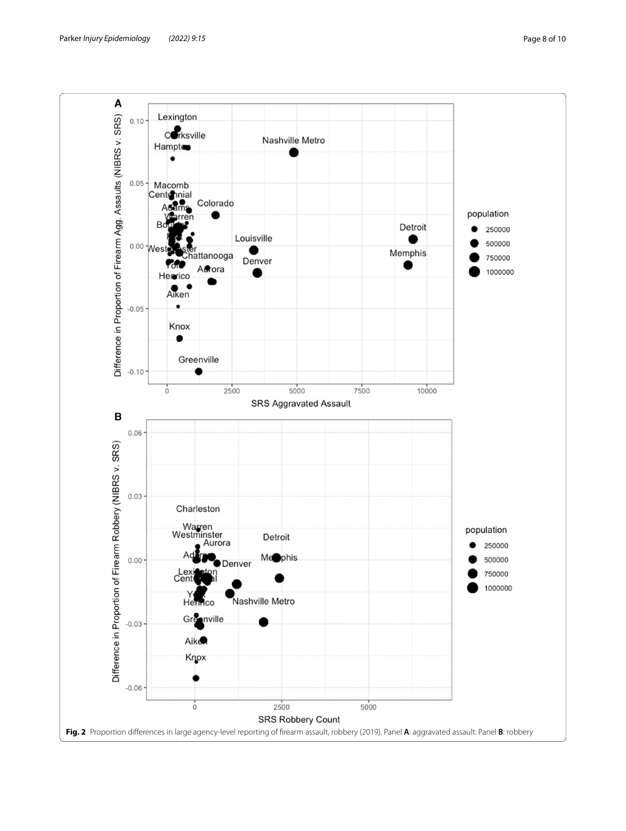<span id="page-7-0"></span>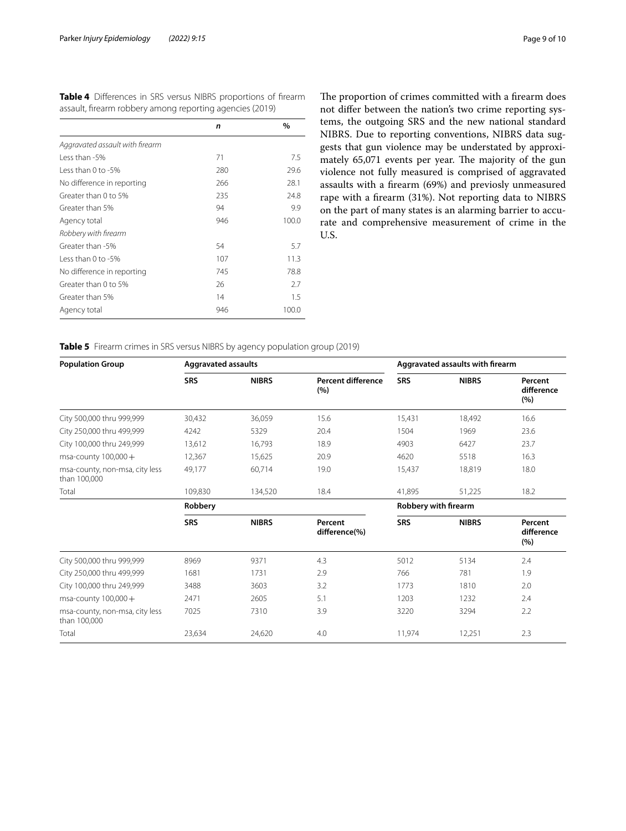<span id="page-8-0"></span>

|  |  | <b>Table 4</b> Differences in SRS versus NIBRS proportions of firearm |  |
|--|--|-----------------------------------------------------------------------|--|
|  |  | assault, firearm robbery among reporting agencies (2019)              |  |

|                                 | n   | $\%$  |
|---------------------------------|-----|-------|
| Aggravated assault with firearm |     |       |
| Less than -5%                   | 71  | 7.5   |
| $l$ ess than 0 to -5%           | 280 | 29.6  |
| No difference in reporting      | 266 | 28.1  |
| Greater than 0 to 5%            | 235 | 24.8  |
| Greater than 5%                 | 94  | 9.9   |
| Agency total                    | 946 | 100.0 |
| Robbery with firearm            |     |       |
| Greater than -5%                | 54  | 5.7   |
| $l$ ess than 0 to -5%           | 107 | 11.3  |
| No difference in reporting      | 745 | 78.8  |
| Greater than 0 to 5%            | 26  | 2.7   |
| Greater than 5%                 | 14  | 1.5   |
| Agency total                    | 946 | 100.0 |

The proportion of crimes committed with a firearm does not difer between the nation's two crime reporting systems, the outgoing SRS and the new national standard NIBRS. Due to reporting conventions, NIBRS data suggests that gun violence may be understated by approximately 65,071 events per year. The majority of the gun violence not fully measured is comprised of aggravated assaults with a frearm (69%) and previosly unmeasured rape with a frearm (31%). Not reporting data to NIBRS on the part of many states is an alarming barrier to accurate and comprehensive measurement of crime in the U.S.

<span id="page-8-1"></span>**Table 5** Firearm crimes in SRS versus NIBRS by agency population group (2019)

| <b>Population Group</b>                        | <b>Aggravated assaults</b> |              |                           | Aggravated assaults with firearm |              |                              |
|------------------------------------------------|----------------------------|--------------|---------------------------|----------------------------------|--------------|------------------------------|
|                                                | <b>SRS</b>                 | <b>NIBRS</b> | Percent difference<br>(%) | <b>SRS</b>                       | <b>NIBRS</b> | Percent<br>difference<br>(%) |
| City 500,000 thru 999,999                      | 30,432                     | 36,059       | 15.6                      | 15,431                           | 18,492       | 16.6                         |
| City 250,000 thru 499,999                      | 4242                       | 5329         | 20.4                      | 1504                             | 1969         | 23.6                         |
| City 100,000 thru 249,999                      | 13.612                     | 16,793       | 18.9                      | 4903                             | 6427         | 23.7                         |
| msa-county $100,000+$                          | 12,367                     | 15,625       | 20.9                      | 4620                             | 5518         | 16.3                         |
| msa-county, non-msa, city less<br>than 100,000 | 49,177                     | 60,714       | 19.0                      | 15,437                           | 18,819       | 18.0                         |
| Total                                          | 109,830                    | 134,520      | 18.4                      | 41,895                           | 51,225       | 18.2                         |
|                                                | Robbery                    |              |                           | Robbery with firearm             |              |                              |
|                                                | <b>SRS</b>                 | <b>NIBRS</b> | Percent<br>difference(%)  | <b>SRS</b>                       | <b>NIBRS</b> | Percent<br>difference<br>(%) |
| City 500,000 thru 999,999                      | 8969                       | 9371         | 4.3                       | 5012                             | 5134         | 2.4                          |
| City 250,000 thru 499,999                      | 1681                       | 1731         | 2.9                       | 766                              | 781          | 1.9                          |
| City 100,000 thru 249,999                      | 3488                       | 3603         | 3.2                       | 1773                             | 1810         | 2.0                          |
| msa-county $100,000+$                          | 2471                       | 2605         | 5.1                       | 1203                             | 1232         | 2.4                          |
| msa-county, non-msa, city less<br>than 100,000 | 7025                       | 7310         | 3.9                       | 3220                             | 3294         | 2.2                          |
| Total                                          | 23,634                     | 24,620       | 4.0                       | 11,974                           | 12,251       | 2.3                          |